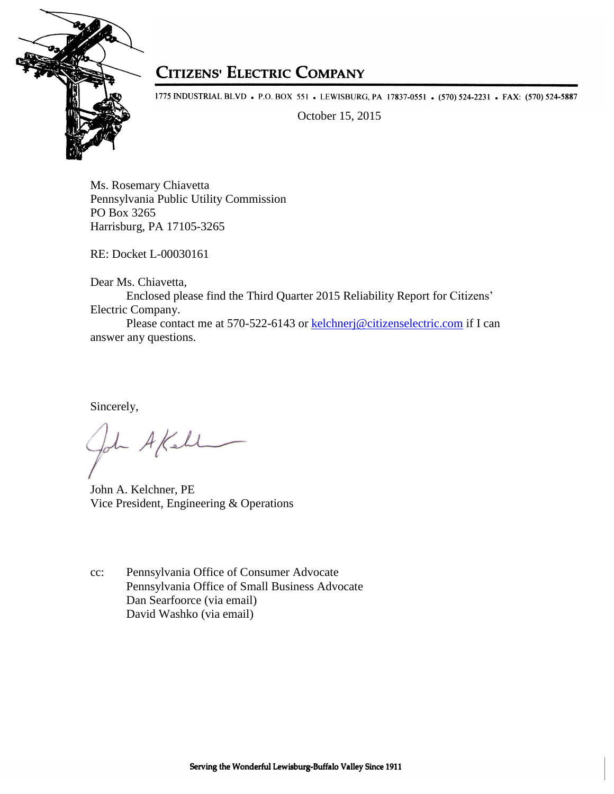

## **CITIZENS' ELECTRIC COMPANY**

1775 INDUSTRIAL BLVD • P.O. BOX 551 • LEWISBURG, PA 17837-0551 • (570) 524-2231 • FAX: (570) 524-5887

October 15, 2015

Ms. Rosemary Chiavetta Pennsylvania Public Utility Commission PO Box 3265 Harrisburg, PA 17105-3265

RE: Docket L-00030161

Dear Ms. Chiavetta,

Enclosed please find the Third Quarter 2015 Reliability Report for Citizens' Electric Company.

Please contact me at 570-522-6143 or [kelchnerj@citizenselectric.com](mailto:kelchnerj@citizenselectric.com) if I can answer any questions.

Sincerely,

John AKehl

John A. Kelchner, PE Vice President, Engineering & Operations

cc: Pennsylvania Office of Consumer Advocate Pennsylvania Office of Small Business Advocate Dan Searfoorce (via email) David Washko (via email)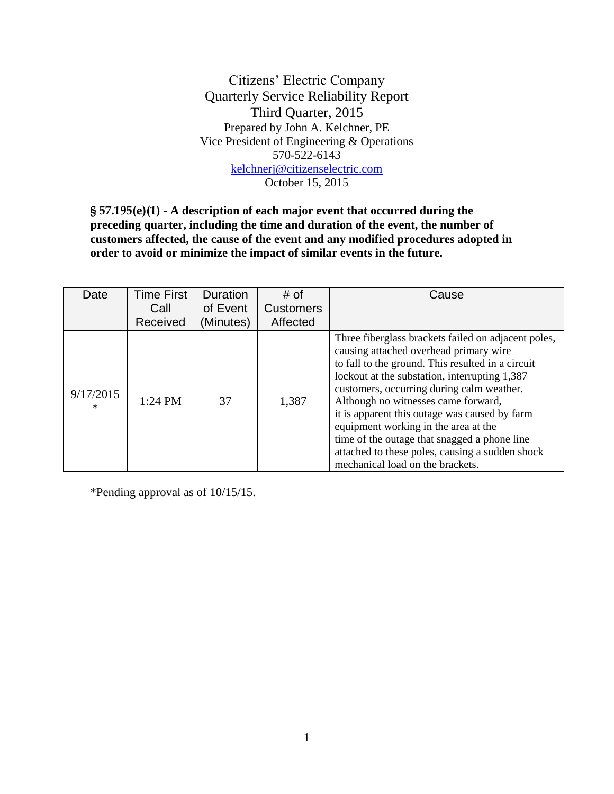Citizens' Electric Company Quarterly Service Reliability Report Third Quarter, 2015 Prepared by John A. Kelchner, PE Vice President of Engineering & Operations 570-522-6143 [kelchnerj@citizenselectric.com](mailto:kelchnerj@citizenselectric.com) October 15, 2015

**§ 57.195(e)(1) - A description of each major event that occurred during the preceding quarter, including the time and duration of the event, the number of customers affected, the cause of the event and any modified procedures adopted in order to avoid or minimize the impact of similar events in the future.**

| Date           | <b>Time First</b> | <b>Duration</b> | # of             | Cause                                                                                                                                                                                                                                                                                                                                                                                                                                                                                                                   |
|----------------|-------------------|-----------------|------------------|-------------------------------------------------------------------------------------------------------------------------------------------------------------------------------------------------------------------------------------------------------------------------------------------------------------------------------------------------------------------------------------------------------------------------------------------------------------------------------------------------------------------------|
|                | Call              | of Event        | <b>Customers</b> |                                                                                                                                                                                                                                                                                                                                                                                                                                                                                                                         |
|                | Received          | (Minutes)       | Affected         |                                                                                                                                                                                                                                                                                                                                                                                                                                                                                                                         |
| 9/17/2015<br>ж | $1:24$ PM         | 37              | 1,387            | Three fiberglass brackets failed on adjacent poles,<br>causing attached overhead primary wire<br>to fall to the ground. This resulted in a circuit<br>lockout at the substation, interrupting 1,387<br>customers, occurring during calm weather.<br>Although no witnesses came forward,<br>it is apparent this outage was caused by farm<br>equipment working in the area at the<br>time of the outage that snagged a phone line<br>attached to these poles, causing a sudden shock<br>mechanical load on the brackets. |

\*Pending approval as of 10/15/15.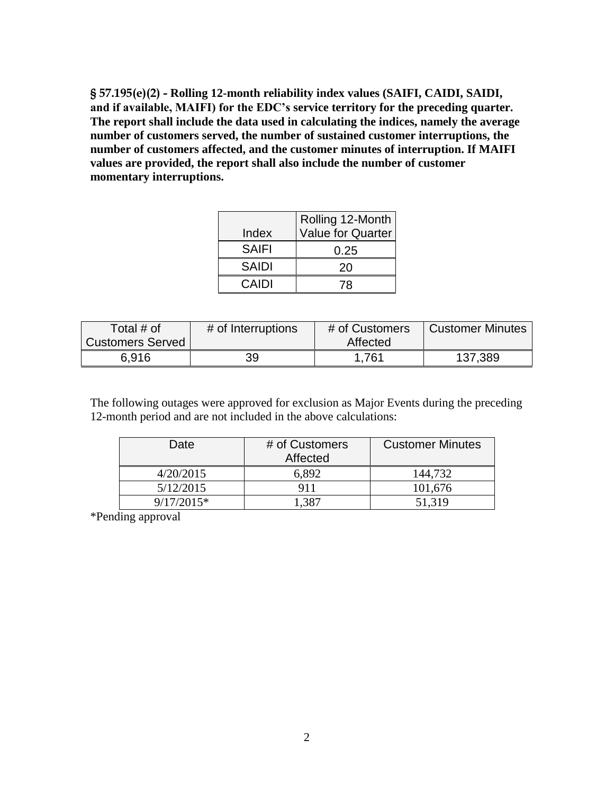**§ 57.195(e)(2) - Rolling 12-month reliability index values (SAIFI, CAIDI, SAIDI, and if available, MAIFI) for the EDC's service territory for the preceding quarter. The report shall include the data used in calculating the indices, namely the average number of customers served, the number of sustained customer interruptions, the number of customers affected, and the customer minutes of interruption. If MAIFI values are provided, the report shall also include the number of customer momentary interruptions.**

|              | Rolling 12-Month  |  |
|--------------|-------------------|--|
| Index        | Value for Quarter |  |
| <b>SAIFI</b> | 0.25              |  |
| <b>SAIDI</b> | 20                |  |
| CAIDI        | 78                |  |

| Total # of              | # of Interruptions | # of Customers | Customer Minutes |
|-------------------------|--------------------|----------------|------------------|
| <b>Customers Served</b> |                    | Affected       |                  |
| 6,916                   | 39                 | 1,761          | 137,389          |

The following outages were approved for exclusion as Major Events during the preceding 12-month period and are not included in the above calculations:

| Date         | # of Customers<br>Affected | <b>Customer Minutes</b> |  |
|--------------|----------------------------|-------------------------|--|
| 4/20/2015    | 6,892                      | 144.732                 |  |
| 5/12/2015    | 911                        | 101,676                 |  |
| $9/17/2015*$ | 1.387                      | 51,319                  |  |

\*Pending approval